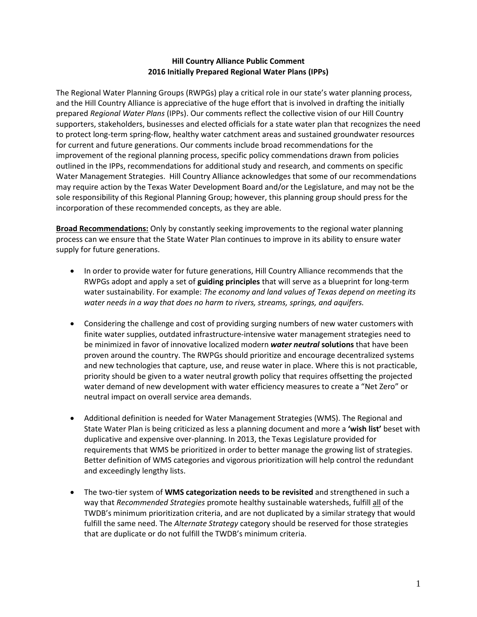## **Hill Country Alliance Public Comment 2016 Initially Prepared Regional Water Plans (IPPs)**

The Regional Water Planning Groups (RWPGs) play a critical role in our state's water planning process, and the Hill Country Alliance is appreciative of the huge effort that is involved in drafting the initially prepared *Regional Water Plans* (IPPs). Our comments reflect the collective vision of our Hill Country supporters, stakeholders, businesses and elected officials for a state water plan that recognizes the need to protect long-term spring-flow, healthy water catchment areas and sustained groundwater resources for current and future generations. Our comments include broad recommendations for the improvement of the regional planning process, specific policy commendations drawn from policies outlined in the IPPs, recommendations for additional study and research, and comments on specific Water Management Strategies. Hill Country Alliance acknowledges that some of our recommendations may require action by the Texas Water Development Board and/or the Legislature, and may not be the sole responsibility of this Regional Planning Group; however, this planning group should press for the incorporation of these recommended concepts, as they are able.

**Broad Recommendations:** Only by constantly seeking improvements to the regional water planning process can we ensure that the State Water Plan continues to improve in its ability to ensure water supply for future generations.

- In order to provide water for future generations, Hill Country Alliance recommends that the RWPGs adopt and apply a set of **guiding principles** that will serve as a blueprint for long-term water sustainability. For example: *The economy and land values of Texas depend on meeting its water needs in a way that does no harm to rivers, streams, springs, and aquifers.*
- Considering the challenge and cost of providing surging numbers of new water customers with finite water supplies, outdated infrastructure-intensive water management strategies need to be minimized in favor of innovative localized modern *water neutral* **solutions** that have been proven around the country. The RWPGs should prioritize and encourage decentralized systems and new technologies that capture, use, and reuse water in place. Where this is not practicable, priority should be given to a water neutral growth policy that requires offsetting the projected water demand of new development with water efficiency measures to create a "Net Zero" or neutral impact on overall service area demands.
- Additional definition is needed for Water Management Strategies (WMS). The Regional and State Water Plan is being criticized as less a planning document and more a **'wish list'** beset with duplicative and expensive over-planning. In 2013, the Texas Legislature provided for requirements that WMS be prioritized in order to better manage the growing list of strategies. Better definition of WMS categories and vigorous prioritization will help control the redundant and exceedingly lengthy lists.
- The two-tier system of **WMS categorization needs to be revisited** and strengthened in such a way that *Recommended Strategies* promote healthy sustainable watersheds, fulfill all of the TWDB's minimum prioritization criteria, and are not duplicated by a similar strategy that would fulfill the same need. The *Alternate Strategy* category should be reserved for those strategies that are duplicate or do not fulfill the TWDB's minimum criteria.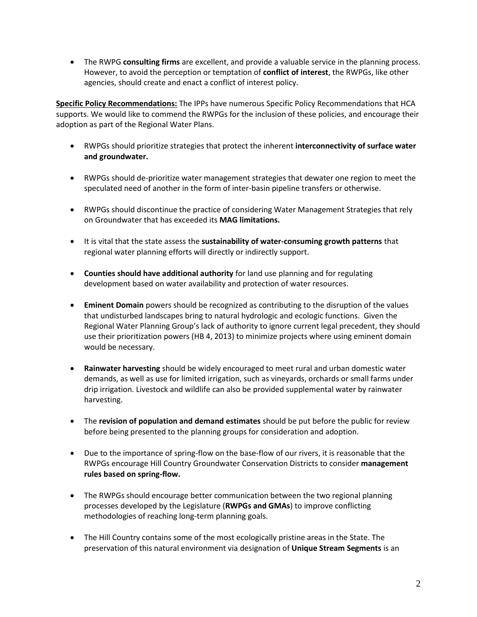The RWPG **consulting firms** are excellent, and provide a valuable service in the planning process. However, to avoid the perception or temptation of **conflict of interest**, the RWPGs, like other agencies, should create and enact a conflict of interest policy.

**Specific Policy Recommendations:** The IPPs have numerous Specific Policy Recommendations that HCA supports. We would like to commend the RWPGs for the inclusion of these policies, and encourage their adoption as part of the Regional Water Plans.

- RWPGs should prioritize strategies that protect the inherent **interconnectivity of surface water and groundwater.**
- RWPGs should de-prioritize water management strategies that dewater one region to meet the speculated need of another in the form of inter-basin pipeline transfers or otherwise.
- RWPGs should discontinue the practice of considering Water Management Strategies that rely on Groundwater that has exceeded its **MAG limitations.**
- It is vital that the state assess the **sustainability of water-consuming growth patterns** that regional water planning efforts will directly or indirectly support.
- **Counties should have additional authority** for land use planning and for regulating development based on water availability and protection of water resources.
- **Eminent Domain** powers should be recognized as contributing to the disruption of the values that undisturbed landscapes bring to natural hydrologic and ecologic functions. Given the Regional Water Planning Group's lack of authority to ignore current legal precedent, they should use their prioritization powers (HB 4, 2013) to minimize projects where using eminent domain would be necessary.
- **Rainwater harvesting** should be widely encouraged to meet rural and urban domestic water demands, as well as use for limited irrigation, such as vineyards, orchards or small farms under drip irrigation. Livestock and wildlife can also be provided supplemental water by rainwater harvesting.
- The **revision of population and demand estimates** should be put before the public for review before being presented to the planning groups for consideration and adoption.
- Due to the importance of spring-flow on the base-flow of our rivers, it is reasonable that the RWPGs encourage Hill Country Groundwater Conservation Districts to consider **management rules based on spring-flow.**
- The RWPGs should encourage better communication between the two regional planning processes developed by the Legislature (**RWPGs and GMAs**) to improve conflicting methodologies of reaching long-term planning goals.
- The Hill Country contains some of the most ecologically pristine areas in the State. The preservation of this natural environment via designation of **Unique Stream Segments** is an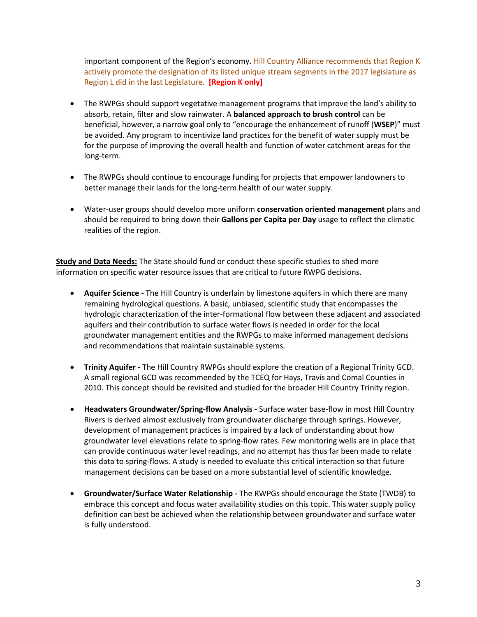important component of the Region's economy. Hill Country Alliance recommends that Region K actively promote the designation of its listed unique stream segments in the 2017 legislature as Region L did in the last Legislature. **[Region K only]**

- The RWPGs should support vegetative management programs that improve the land's ability to absorb, retain, filter and slow rainwater. A **balanced approach to brush control** can be beneficial, however, a narrow goal only to "encourage the enhancement of runoff (**WSEP**)" must be avoided. Any program to incentivize land practices for the benefit of water supply must be for the purpose of improving the overall health and function of water catchment areas for the long-term.
- The RWPGs should continue to encourage funding for projects that empower landowners to better manage their lands for the long-term health of our water supply.
- Water-user groups should develop more uniform **conservation oriented management** plans and should be required to bring down their **Gallons per Capita per Day** usage to reflect the climatic realities of the region.

**Study and Data Needs:** The State should fund or conduct these specific studies to shed more information on specific water resource issues that are critical to future RWPG decisions.

- **Aquifer Science -** The Hill Country is underlain by limestone aquifers in which there are many remaining hydrological questions. A basic, unbiased, scientific study that encompasses the hydrologic characterization of the inter-formational flow between these adjacent and associated aquifers and their contribution to surface water flows is needed in order for the local groundwater management entities and the RWPGs to make informed management decisions and recommendations that maintain sustainable systems.
- **Trinity Aquifer -** The Hill Country RWPGs should explore the creation of a Regional Trinity GCD. A small regional GCD was recommended by the TCEQ for Hays, Travis and Comal Counties in 2010. This concept should be revisited and studied for the broader Hill Country Trinity region.
- **Headwaters Groundwater/Spring-flow Analysis -** Surface water base-flow in most Hill Country Rivers is derived almost exclusively from groundwater discharge through springs. However, development of management practices is impaired by a lack of understanding about how groundwater level elevations relate to spring-flow rates. Few monitoring wells are in place that can provide continuous water level readings, and no attempt has thus far been made to relate this data to spring-flows. A study is needed to evaluate this critical interaction so that future management decisions can be based on a more substantial level of scientific knowledge.
- **Groundwater/Surface Water Relationship -** The RWPGs should encourage the State (TWDB) to embrace this concept and focus water availability studies on this topic. This water supply policy definition can best be achieved when the relationship between groundwater and surface water is fully understood.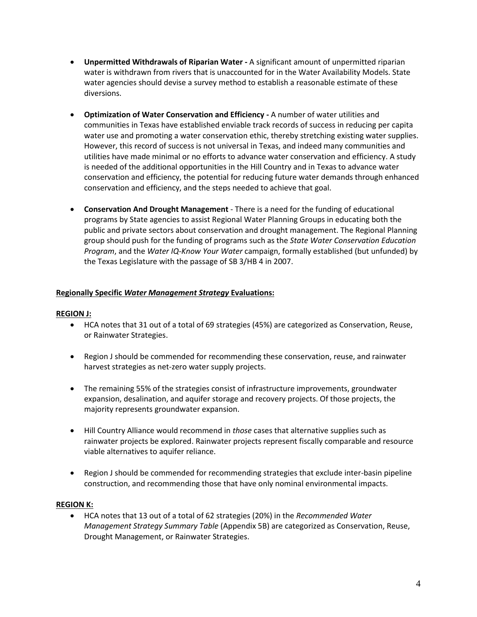- **Unpermitted Withdrawals of Riparian Water -** A significant amount of unpermitted riparian water is withdrawn from rivers that is unaccounted for in the Water Availability Models. State water agencies should devise a survey method to establish a reasonable estimate of these diversions.
- **Optimization of Water Conservation and Efficiency -** A number of water utilities and communities in Texas have established enviable track records of success in reducing per capita water use and promoting a water conservation ethic, thereby stretching existing water supplies. However, this record of success is not universal in Texas, and indeed many communities and utilities have made minimal or no efforts to advance water conservation and efficiency. A study is needed of the additional opportunities in the Hill Country and in Texas to advance water conservation and efficiency, the potential for reducing future water demands through enhanced conservation and efficiency, and the steps needed to achieve that goal.
- **Conservation And Drought Management** There is a need for the funding of educational programs by State agencies to assist Regional Water Planning Groups in educating both the public and private sectors about conservation and drought management. The Regional Planning group should push for the funding of programs such as the *State Water Conservation Education Program*, and the *Water IQ-Know Your Water* campaign, formally established (but unfunded) by the Texas Legislature with the passage of SB 3/HB 4 in 2007.

# **Regionally Specific** *Water Management Strategy* **Evaluations:**

## **REGION J:**

- HCA notes that 31 out of a total of 69 strategies (45%) are categorized as Conservation, Reuse, or Rainwater Strategies.
- Region J should be commended for recommending these conservation, reuse, and rainwater harvest strategies as net-zero water supply projects.
- The remaining 55% of the strategies consist of infrastructure improvements, groundwater expansion, desalination, and aquifer storage and recovery projects. Of those projects, the majority represents groundwater expansion.
- Hill Country Alliance would recommend in *those* cases that alternative supplies such as rainwater projects be explored. Rainwater projects represent fiscally comparable and resource viable alternatives to aquifer reliance.
- Region J should be commended for recommending strategies that exclude inter-basin pipeline construction, and recommending those that have only nominal environmental impacts.

## **REGION K:**

 HCA notes that 13 out of a total of 62 strategies (20%) in the *Recommended Water Management Strategy Summary Table* (Appendix 5B) are categorized as Conservation, Reuse, Drought Management, or Rainwater Strategies.